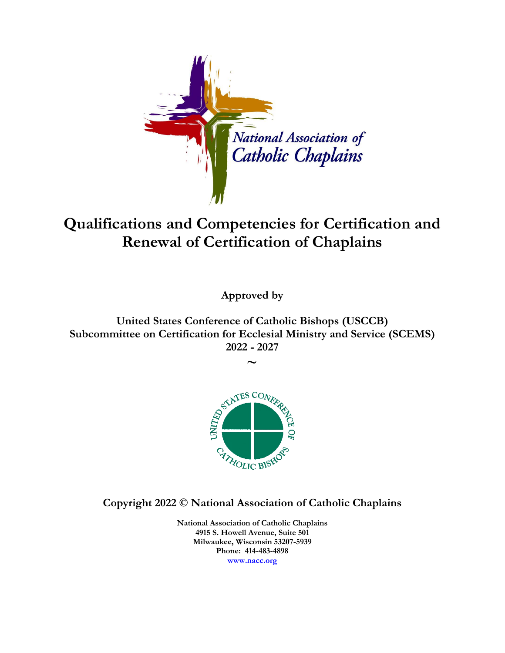

## **Qualifications and Competencies for Certification and Renewal of Certification of Chaplains**

**Approved by**

**United States Conference of Catholic Bishops (USCCB) Subcommittee on Certification for Ecclesial Ministry and Service (SCEMS) 2022 - 2027**



**Copyright 2022 © National Association of Catholic Chaplains**

**National Association of Catholic Chaplains 4915 S. Howell Avenue, Suite 501 Milwaukee, Wisconsin 53207-5939 Phone: 414-483-4898 [www.nacc.org](http://www.nacc.org/)**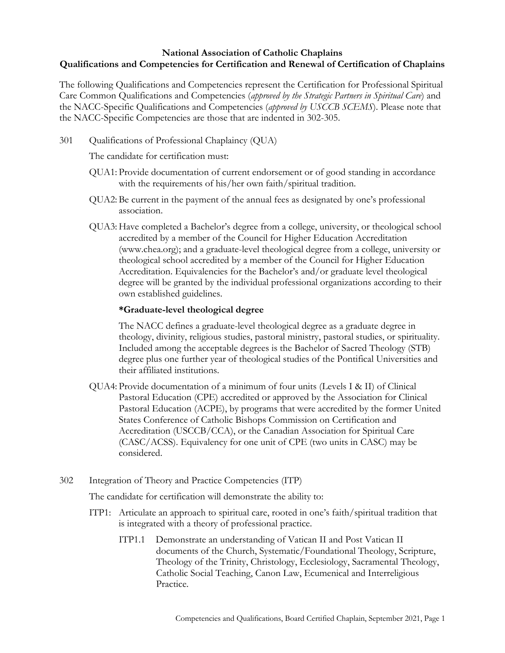## **National Association of Catholic Chaplains Qualifications and Competencies for Certification and Renewal of Certification of Chaplains**

The following Qualifications and Competencies represent the Certification for Professional Spiritual Care Common Qualifications and Competencies (*approved by the Strategic Partners in Spiritual Care*) and the NACC-Specific Qualifications and Competencies (*approved by USCCB SCEMS*). Please note that the NACC-Specific Competencies are those that are indented in 302-305.

301 Qualifications of Professional Chaplaincy (QUA)

The candidate for certification must:

- QUA1: Provide documentation of current endorsement or of good standing in accordance with the requirements of his/her own faith/spiritual tradition.
- QUA2: Be current in the payment of the annual fees as designated by one's professional association.
- QUA3: Have completed a Bachelor's degree from a college, university, or theological school accredited by a member of the Council for Higher Education Accreditation (www.chea.org); and a graduate-level theological degree from a college, university or theological school accredited by a member of the Council for Higher Education Accreditation. Equivalencies for the Bachelor's and/or graduate level theological degree will be granted by the individual professional organizations according to their own established guidelines.

## **\*Graduate-level theological degree**

The NACC defines a graduate-level theological degree as a graduate degree in theology, divinity, religious studies, pastoral ministry, pastoral studies, or spirituality. Included among the acceptable degrees is the Bachelor of Sacred Theology (STB) degree plus one further year of theological studies of the Pontifical Universities and their affiliated institutions.

- QUA4: Provide documentation of a minimum of four units (Levels I & II) of Clinical Pastoral Education (CPE) accredited or approved by the Association for Clinical Pastoral Education (ACPE), by programs that were accredited by the former United States Conference of Catholic Bishops Commission on Certification and Accreditation (USCCB/CCA), or the Canadian Association for Spiritual Care (CASC/ACSS). Equivalency for one unit of CPE (two units in CASC) may be considered.
- 302 Integration of Theory and Practice Competencies (ITP)

The candidate for certification will demonstrate the ability to:

- ITP1: Articulate an approach to spiritual care, rooted in one's faith/spiritual tradition that is integrated with a theory of professional practice.
	- ITP1.1 Demonstrate an understanding of Vatican II and Post Vatican II documents of the Church, Systematic/Foundational Theology, Scripture, Theology of the Trinity, Christology, Ecclesiology, Sacramental Theology, Catholic Social Teaching, Canon Law, Ecumenical and Interreligious Practice.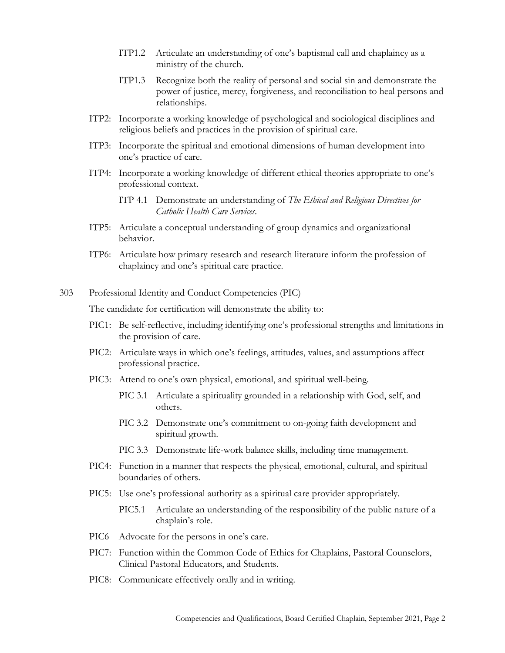- ITP1.2 Articulate an understanding of one's baptismal call and chaplaincy as a ministry of the church.
- ITP1.3 Recognize both the reality of personal and social sin and demonstrate the power of justice, mercy, forgiveness, and reconciliation to heal persons and relationships.
- ITP2: Incorporate a working knowledge of psychological and sociological disciplines and religious beliefs and practices in the provision of spiritual care.
- ITP3: Incorporate the spiritual and emotional dimensions of human development into one's practice of care.
- ITP4: Incorporate a working knowledge of different ethical theories appropriate to one's professional context.
	- ITP 4.1 Demonstrate an understanding of *The Ethical and Religious Directives for Catholic Health Care Services.*
- ITP5: Articulate a conceptual understanding of group dynamics and organizational behavior.
- ITP6: Articulate how primary research and research literature inform the profession of chaplaincy and one's spiritual care practice.
- 303 Professional Identity and Conduct Competencies (PIC)

The candidate for certification will demonstrate the ability to:

- PIC1: Be self-reflective, including identifying one's professional strengths and limitations in the provision of care.
- PIC2: Articulate ways in which one's feelings, attitudes, values, and assumptions affect professional practice.
- PIC3: Attend to one's own physical, emotional, and spiritual well-being.
	- PIC 3.1 Articulate a spirituality grounded in a relationship with God, self, and others.
	- PIC 3.2 Demonstrate one's commitment to on-going faith development and spiritual growth.
	- PIC 3.3 Demonstrate life-work balance skills, including time management.
- PIC4: Function in a manner that respects the physical, emotional, cultural, and spiritual boundaries of others.
- PIC5: Use one's professional authority as a spiritual care provider appropriately.
	- PIC5.1 Articulate an understanding of the responsibility of the public nature of a chaplain's role.
- PIC6 Advocate for the persons in one's care.
- PIC7: Function within the Common Code of Ethics for Chaplains, Pastoral Counselors, Clinical Pastoral Educators, and Students.
- PIC8: Communicate effectively orally and in writing.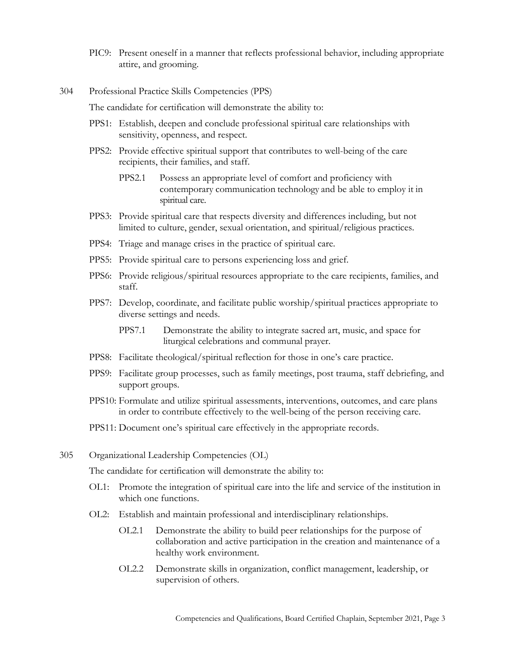- PIC9: Present oneself in a manner that reflects professional behavior, including appropriate attire, and grooming.
- 304 Professional Practice Skills Competencies (PPS)

The candidate for certification will demonstrate the ability to:

- PPS1: Establish, deepen and conclude professional spiritual care relationships with sensitivity, openness, and respect.
- PPS2: Provide effective spiritual support that contributes to well-being of the care recipients, their families, and staff.
	- PPS2.1 Possess an appropriate level of comfort and proficiency with contemporary communication technology and be able to employ it in spiritual care.
- PPS3: Provide spiritual care that respects diversity and differences including, but not limited to culture, gender, sexual orientation, and spiritual/religious practices.
- PPS4: Triage and manage crises in the practice of spiritual care.
- PPS5: Provide spiritual care to persons experiencing loss and grief.
- PPS6: Provide religious/spiritual resources appropriate to the care recipients, families, and staff.
- PPS7: Develop, coordinate, and facilitate public worship/spiritual practices appropriate to diverse settings and needs.
	- PPS7.1 Demonstrate the ability to integrate sacred art, music, and space for liturgical celebrations and communal prayer.
- PPS8: Facilitate theological/spiritual reflection for those in one's care practice.
- PPS9: Facilitate group processes, such as family meetings, post trauma, staff debriefing, and support groups.
- PPS10: Formulate and utilize spiritual assessments, interventions, outcomes, and care plans in order to contribute effectively to the well-being of the person receiving care.
- PPS11: Document one's spiritual care effectively in the appropriate records.
- 305 Organizational Leadership Competencies (OL)

The candidate for certification will demonstrate the ability to:

- OL1: Promote the integration of spiritual care into the life and service of the institution in which one functions.
- OL2: Establish and maintain professional and interdisciplinary relationships.
	- OL2.1 Demonstrate the ability to build peer relationships for the purpose of collaboration and active participation in the creation and maintenance of a healthy work environment.
	- OL2.2 Demonstrate skills in organization, conflict management, leadership, or supervision of others.